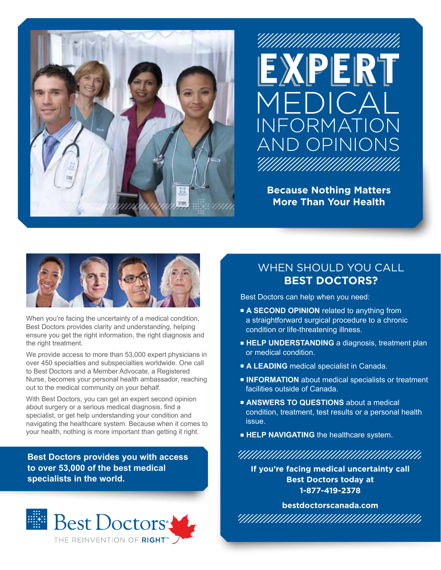



**Because Nothing Matters More Than Your Health**



When you're facing the uncertainty of a medical condition, Best Doctors provides clarity and understanding, helping ensure you get the right information, the right diagnosis and the right treatment.

We provide access to more than 53,000 expert physicians in over 450 specialties and subspecialties worldwide. One call to Best Doctors and a Member Advocate, a Registered Nurse, becomes your personal health ambassador, reaching out to the medical community on your behalf.

With Best Doctors, you can get an expert second opinion about surgery or a serious medical diagnosis, find a specialist, or get help understanding your condition and navigating the healthcare system. Because when it comes to your health, nothing is more important than getting it right.

**Best Doctors provides you with access to over 53,000 of the best medical specialists in the world.**



## WHEN SHOULD YOU CALL **BEST DOCTORS?**

Best Doctors can help when you need:

- **A SECOND OPINION** related to anything from a straightforward surgical procedure to a chronic condition or life-threatening illness.
- **HELP UNDERSTANDING** a diagnosis, treatment plan or medical condition.
- **A LEADING** medical specialist in Canada.
- **INFORMATION** about medical specialists or treatment facilities outside of Canada.
- **EXANSWERS TO QUESTIONS** about a medical condition, treatment, test results or a personal health issue.
- **FIELP NAVIGATING** the healthcare system.

<u>ЧИНИНИНИНИНИНИНИНИН</u>

**If you're facing medical uncertainty call Best Doctors today at 1-877-419-2378**